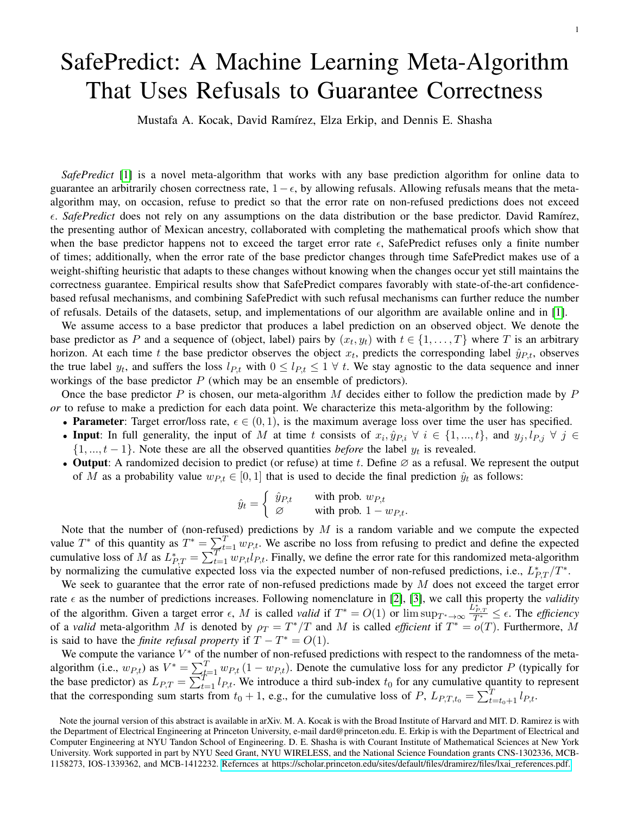## SafePredict: A Machine Learning Meta-Algorithm That Uses Refusals to Guarantee Correctness

Mustafa A. Kocak, David Ramírez, Elza Erkip, and Dennis E. Shasha

*SafePredict* [\[1\]](#page-2-0) is a novel meta-algorithm that works with any base prediction algorithm for online data to guarantee an arbitrarily chosen correctness rate,  $1-\epsilon$ , by allowing refusals. Allowing refusals means that the metaalgorithm may, on occasion, refuse to predict so that the error rate on non-refused predictions does not exceed . *SafePredict* does not rely on any assumptions on the data distribution or the base predictor. David Ramírez, the presenting author of Mexican ancestry, collaborated with completing the mathematical proofs which show that when the base predictor happens not to exceed the target error rate  $\epsilon$ , SafePredict refuses only a finite number of times; additionally, when the error rate of the base predictor changes through time SafePredict makes use of a weight-shifting heuristic that adapts to these changes without knowing when the changes occur yet still maintains the correctness guarantee. Empirical results show that SafePredict compares favorably with state-of-the-art confidencebased refusal mechanisms, and combining SafePredict with such refusal mechanisms can further reduce the number of refusals. Details of the datasets, setup, and implementations of our algorithm are available online and in [\[1\]](#page-2-0).

We assume access to a base predictor that produces a label prediction on an observed object. We denote the base predictor as P and a sequence of (object, label) pairs by  $(x_t, y_t)$  with  $t \in \{1, ..., T\}$  where T is an arbitrary horizon. At each time t the base predictor observes the object  $x_t$ , predicts the corresponding label  $\hat{y}_{P,t}$ , observes the true label  $y_t$ , and suffers the loss  $l_{P,t}$  with  $0 \leq l_{P,t} \leq 1 \ \forall \ t$ . We stay agnostic to the data sequence and inner workings of the base predictor  $P$  (which may be an ensemble of predictors).

Once the base predictor  $P$  is chosen, our meta-algorithm  $M$  decides either to follow the prediction made by  $P$ *or* to refuse to make a prediction for each data point. We characterize this meta-algorithm by the following:

- Parameter: Target error/loss rate,  $\epsilon \in (0, 1)$ , is the maximum average loss over time the user has specified.
- Input: In full generality, the input of M at time t consists of  $x_i, \hat{y}_{P,i} \forall i \in \{1, ..., t\}$ , and  $y_j, l_{P,j} \forall j \in$  $\{1, ..., t-1\}$ . Note these are all the observed quantities *before* the label  $y_t$  is revealed.
- Output: A randomized decision to predict (or refuse) at time t. Define  $\emptyset$  as a refusal. We represent the output of M as a probability value  $w_{P,t} \in [0,1]$  that is used to decide the final prediction  $\hat{y}_t$  as follows:

$$
\hat{y}_t = \begin{cases} \hat{y}_{P,t} & \text{with prob. } w_{P,t} \\ \varnothing & \text{with prob. } 1 - w_{P,t}. \end{cases}
$$

Note that the number of (non-refused) predictions by  $M$  is a random variable and we compute the expected value  $T^*$  of this quantity as  $T^* = \sum_{t=1}^T w_{P,t}$ . We ascribe no loss from refusing to predict and define the expected cumulative loss of M as  $L_{P,T}^* = \sum_{t=1}^T w_{P,t} l_{P,t}$ . Finally, we define the error rate for this randomized meta-algorithm by normalizing the cumulative expected loss via the expected number of non-refused predictions, i.e.,  $L_{P,T}^*/T^*$ .

We seek to guarantee that the error rate of non-refused predictions made by  $M$  does not exceed the target error rate  $\epsilon$  as the number of predictions increases. Following nomenclature in [\[2\]](#page-2-1), [\[3\]](#page-2-2), we call this property the *validity* of the algorithm. Given a target error  $\epsilon$ , M is called *valid* if  $T^* = O(1)$  or  $\limsup_{T^* \to \infty} \frac{L_{P,T}^*}{T^*} \leq \epsilon$ . The *efficiency* of a *valid* meta-algorithm M is denoted by  $\rho_T = T^*/T$  and M is called *efficient* if  $T^* = o(T)$ . Furthermore, M is said to have the *finite refusal property* if  $T - T^* = O(1)$ .

We compute the variance  $V^*$  of the number of non-refused predictions with respect to the randomness of the metaalgorithm (i.e.,  $w_{P,t}$ ) as  $V^* = \sum_{t=1}^T w_{P,t} (1 - w_{P,t})$ . Denote the cumulative loss for any predictor P (typically for the base predictor) as  $L_{P,T} = \sum_{t=1}^{T-1} l_{P,t}$ . We introduce a third sub-index  $t_0$  for any cumulative quantity to represent that the corresponding sum starts from  $t_0 + 1$ , e.g., for the cumulative loss of P,  $L_{P,T,t_0} = \sum_{t=t_0+1}^{T} l_{P,t}$ .

Note the journal version of this abstract is available in arXiv. M. A. Kocak is with the Broad Institute of Harvard and MIT. D. Ramirez is with the Department of Electrical Engineering at Princeton University, e-mail dard@princeton.edu. E. Erkip is with the Department of Electrical and Computer Engineering at NYU Tandon School of Engineering. D. E. Shasha is with Courant Institute of Mathematical Sciences at New York University. Work supported in part by NYU Seed Grant, NYU WIRELESS, and the National Science Foundation grants CNS-1302336, MCB-1158273, IOS-1339362, and MCB-1412232. [Refernces at https://scholar.princeton.edu/sites/default/files/dramirez/files/lxai\\_references.pdf.](https://scholar.princeton.edu/sites/default/files/dramirez/files/lxai_references.pdf)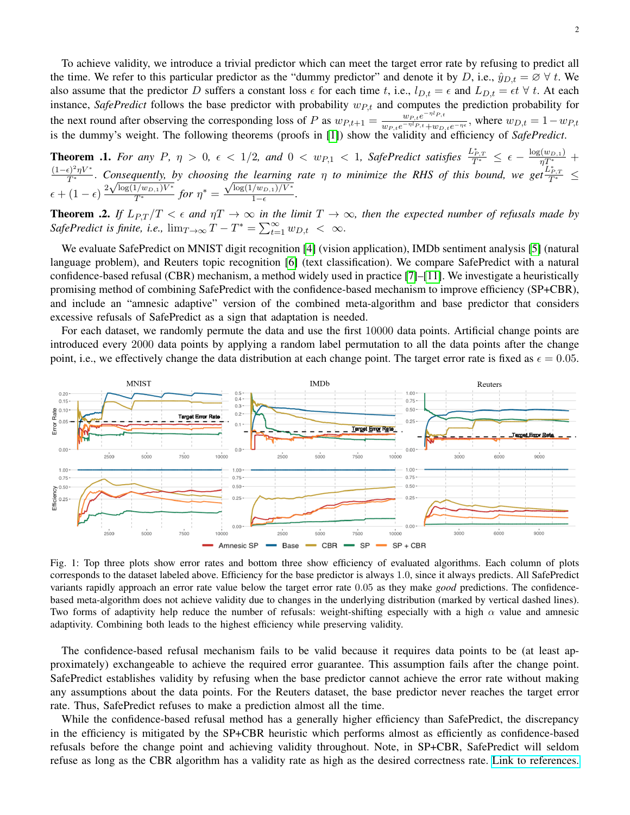To achieve validity, we introduce a trivial predictor which can meet the target error rate by refusing to predict all the time. We refer to this particular predictor as the "dummy predictor" and denote it by D, i.e.,  $\hat{y}_{D,t} = \emptyset \ \forall t$ . We also assume that the predictor D suffers a constant loss  $\epsilon$  for each time t, i.e.,  $l_{D,t} = \epsilon$  and  $L_{D,t} = \epsilon t \ \forall t$ . At each instance, *SafePredict* follows the base predictor with probability  $w_{P,t}$  and computes the prediction probability for the next round after observing the corresponding loss of P as  $w_{P,t+1} = \frac{w_{P,t}e^{-\eta I_{P,t}}}{w_{P,t}e^{-\eta I_{P,t}} + w_{P,t}}$  $\frac{w_{P,t}e^{-\eta P_{P,t}}}{w_{P,t}e^{-\eta I_{P,t}}+w_{D,t}e^{-\eta \epsilon}}$ , where  $w_{D,t} = 1 - w_{P,t}$ is the dummy's weight. The following theorems (proofs in [\[1\]](#page-2-0)) show the validity and efficiency of *SafePredict*.

**Theorem .1.** For any P,  $\eta > 0$ ,  $\epsilon < 1/2$ , and  $0 < w_{P,1} < 1$ , SafePredict satisfies  $\frac{L_{P,T}^*}{T^*} \leq \epsilon - \frac{\log(w_{D,1})}{\eta T^*} +$  $\frac{(1-\epsilon)^2\eta V^*}{T^*}$ . Consequently, by choosing the learning rate  $\eta$  to minimize the RHS of this bound, we get  $\frac{L_{P,T}^*}{T^*} \leq$  $\frac{T^*}{T^*}$ . Consequently, by choosin<br>  $\epsilon + (1 - \epsilon) \frac{2\sqrt{\log(1/w_{D,1})V^*}}{T^*}$  for  $\eta^* =$ g ine tearning<br> $\sqrt{\log(1/w_{D,1})/V^*}$  $\frac{(w_{D,1})/v}{1-\epsilon}$ .

**Theorem .2.** If  $L_{P,T}/T < \epsilon$  and  $\eta T \to \infty$  in the limit  $T \to \infty$ , then the expected number of refusals made by *SafePredict is finite, i.e.,*  $\lim_{T\to\infty} T - T^* = \sum_{t=1}^{\infty} w_{D,t} < \infty$ .

We evaluate SafePredict on MNIST digit recognition [\[4\]](#page-2-3) (vision application), IMDb sentiment analysis [\[5\]](#page-2-4) (natural language problem), and Reuters topic recognition [\[6\]](#page-2-5) (text classification). We compare SafePredict with a natural confidence-based refusal (CBR) mechanism, a method widely used in practice [\[7\]](#page-2-6)–[\[11\]](#page-2-7). We investigate a heuristically promising method of combining SafePredict with the confidence-based mechanism to improve efficiency (SP+CBR), and include an "amnesic adaptive" version of the combined meta-algorithm and base predictor that considers excessive refusals of SafePredict as a sign that adaptation is needed.

For each dataset, we randomly permute the data and use the first 10000 data points. Artificial change points are introduced every 2000 data points by applying a random label permutation to all the data points after the change point, i.e., we effectively change the data distribution at each change point. The target error rate is fixed as  $\epsilon = 0.05$ .



Fig. 1: Top three plots show error rates and bottom three show efficiency of evaluated algorithms. Each column of plots corresponds to the dataset labeled above. Efficiency for the base predictor is always 1.0, since it always predicts. All SafePredict variants rapidly approach an error rate value below the target error rate 0.05 as they make *good* predictions. The confidencebased meta-algorithm does not achieve validity due to changes in the underlying distribution (marked by vertical dashed lines). Two forms of adaptivity help reduce the number of refusals: weight-shifting especially with a high  $\alpha$  value and amnesic adaptivity. Combining both leads to the highest efficiency while preserving validity.

The confidence-based refusal mechanism fails to be valid because it requires data points to be (at least approximately) exchangeable to achieve the required error guarantee. This assumption fails after the change point. SafePredict establishes validity by refusing when the base predictor cannot achieve the error rate without making any assumptions about the data points. For the Reuters dataset, the base predictor never reaches the target error rate. Thus, SafePredict refuses to make a prediction almost all the time.

While the confidence-based refusal method has a generally higher efficiency than SafePredict, the discrepancy in the efficiency is mitigated by the SP+CBR heuristic which performs almost as efficiently as confidence-based refusals before the change point and achieving validity throughout. Note, in SP+CBR, SafePredict will seldom refuse as long as the CBR algorithm has a validity rate as high as the desired correctness rate. [Link to references.](https://scholar.princeton.edu/sites/default/files/dramirez/files/lxai_references.pdf)